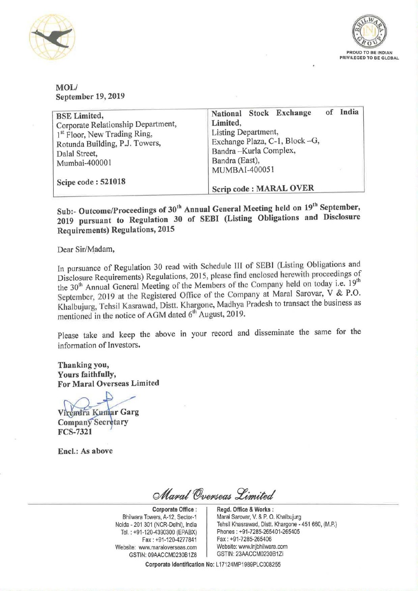



## MOL/ September 19, 2019

| <b>BSE</b> Limited,<br>Corporate Relationship Department,<br>1 <sup>st</sup> Floor, New Trading Ring,<br>Rotunda Building, P.J. Towers,<br>Dalal Street,<br>Mumbai-400001 | of<br>National Stock Exchange<br>Limited,<br>Listing Department,<br>Exchange Plaza, C-1, Block-G,<br>Bandra-Kurla Complex,<br>Bandra (East),<br>MUMBAI-400051 | India |
|---------------------------------------------------------------------------------------------------------------------------------------------------------------------------|---------------------------------------------------------------------------------------------------------------------------------------------------------------|-------|
| Scipe code: 521018                                                                                                                                                        | Scrip code: MARAL OVER                                                                                                                                        |       |

Sub:- Outcome/Proceedings of 30<sup>th</sup> Annual General Meeting held on 19<sup>th</sup> September, <sup>2019</sup> pursuant to Regulation <sup>30</sup> of SEBI (Listing Obligations and Disclosure Requirements) Regulations, <sup>2015</sup>

Dear Sir/Madam,

In pursuance of Regulation <sup>30</sup> read with Schedule III of SEBI (Listing Obligations and Disclosure Requirements) Regulations, 2015, please find enciosed herewith proceedings of the 30<sup>th</sup> Annual General Meeting of the Members of the Company held on today i.e. 19<sup>th</sup> September, 2019 at the Registered Office of the Company at Maral Sarovar, V & P.O. Khalbujurg, Tehsil Kasrawad, Distt. Khargone, Madhya Pradesh to transact the business as mentioned in the notice of AGM dated  $6<sup>th</sup>$  August, 2019.

Please take and keep the above in your record and disseminate the same for the information of Investors.

Thanking you, Yours faithfully, For Maral Overseas Limited

..-/

Virendra Kumar Garg Company Secretary FCS-7321

Encl.: As above

Maral Overseas Limited

Corporate Office : Bhilwara Towers, A-12, Sector-1 Noida - 201 301 (NCR-Delhi), India Tel. : +91-120-4390300 (EPABX) Fax : +91-120-4277841 Website: www.maraloverseas.com | Website: www.lnjbhilwara.com | Website: www.lnjbhilwara.com<br>| GSTIN: 23AACCM0230B1ZI GSTIN: 09AACCM0230B1Z8

Regd. Office & Works : Marai Sarovar, V. & P. O. Khalbujurg Tehsil Khasrawad, Distt. Khargone - 451 660, (MR) Phones : +91-7285-265401-265405 Fax : +91-7285-265406

Corporate Identification No: L17124MP1989PLC008255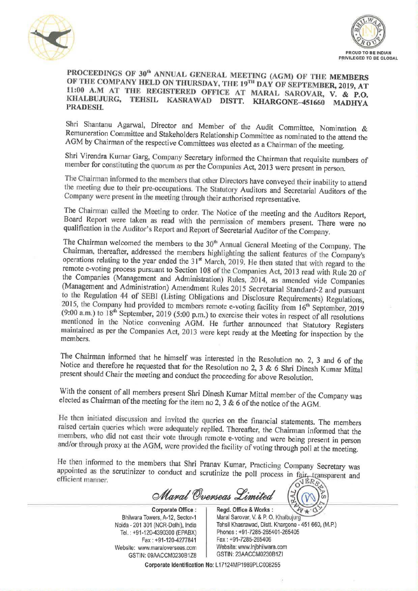



## PROCEEDINGS OF 30<sup>th</sup> ANNUAL GENERAL MEETING (AGM) OF THE MEMBERS OF THE COMPANY HELD ON THURSDAY, THE 19<sup>TH</sup> DAY OF SEPTEMBER, 2019, AT 11:00 A.M AT THE REGISTERED OFFICE AT MARAL SAROVAR, V. & P.O. KHALBUJURG, TEHSIL KASRAWAD DISTT. KHARGONE-451660 MADHYA PRADESH.

Shri Shantanu Agarwal, Director and Member of the Audit Committee, Nomination & Remuneration Committee and Stakeholders Relationship Committee as nominated to the attend the AGM by Chairman of the respective Committees was elected as a Chairman of the meeting.

Shri Virendra Kumar Garg, Company Secretary informed the Chairman that requisite numbers of member for constituting the quorum as per the Companies Act, 2013 were present in person.<br>The Chairman informed to the members that other Directors have conveyed their inability to attend

the meeting due to their pre-occupations. The Statutory Auditors and Secretarial Auditors of the Company were present in the meeting through their authorised representative.<br>The Chairman called the Meeting to order. The Notice of the meeting and the Auditors Report,

Board Report were taken as read with the permission of members present. There were no qualification in the Auditor's Report and Report of Secretarial Auditor of the Company.

The Chairman welcomed the members to the 30<sup>th</sup> Annual General Meeting of the Company. The Chairman, thereafter, addressed the members highlighting the salient features of the Company's operations relating to the year ended the 31<sup>st</sup> March, 2019. He then stated that with regard to the remote e-voting process pursuant to Section 108 of the Companies Act, 2013 read with Rule 20 of the Companies (Management and Administration) Rules, 2014, as amended vide Companies<br>(Management and Administration) Amendment Rules 2015 Secretarial Standard-2 and pursuant<br>to the Regulation 44 of SEBI (Listing Obligatio mentioned in the Notice convening AGM. He further announced that Statutory Registers<br>maintained as per the Companies Act, 2013 were kept ready at the Meeting for inspection by the<br>members.

The Chairman informed that he himself was interested in the Resolution no. 2, 3 and 6 of the Notice and therefore he requested that for the Resolution no 2, 3 & 6 Shri Dinesh Kumar Mittal present should Chair the meeting and conduct the proceeding for above Resolution.

With the consent of all members present Shri Dinesh Kumar Mittal member of the Company was elected as Chairman of the meeting for the item no 2, 3 & 6 of the notice of the AGM.

He then initiated discussion and invited the queries on the financial statements. The members raised certain queries which were adequately replied. Thereafter, the Chairman informed that the members, who did not cast their

He then informed to the members that Shri Pranav Kumar, Practicing Company Secretary was appointed as the scrutinizer to conduct and scrutinize the poll process in fair, transparent and efficient manner. appointed as the scrutinizer to conduct and scrutinize the poll process in fair, transparent and efficient manner.

Maral Overseas Limited

**Corporate Office:** Regd. Office & Works:<br>Bhilwara Towers, A-12, Sector-1 Maral Sarovar, V. & P. O. Noida - 201 301 (NCR-Delhi), India Website: www.maraloverseas.com Website: www.lnjbhilwara.com <br>GSTIN: 09AACCM0230B1ZI GSTIN: 09AACCM0230B1Z8

Marcul Overseas Limited<br>
Corporate Office : Regd. Office & Works :<br>
Para Towers, A-12, Sector-1<br>
201 301 (NCR-Delhi), India Tehsil Khasrawad, Distt. Khargone - 451 660, (M.P.) Bhilwara Towers, A-12, Sector-1 | Maral Sarovar, V. & P. O. Khalbujurg Tel. ; +91-120.4390300 (EPABX) Phones : +91-7285-265401-265405 Fax: +91-120-4277841 Fax: +91-7285-265406<br>Metalogy Metalogy Metals: www.inibhilwara.com

'9

Corporate Identification No: L17124MP1989PLC008255